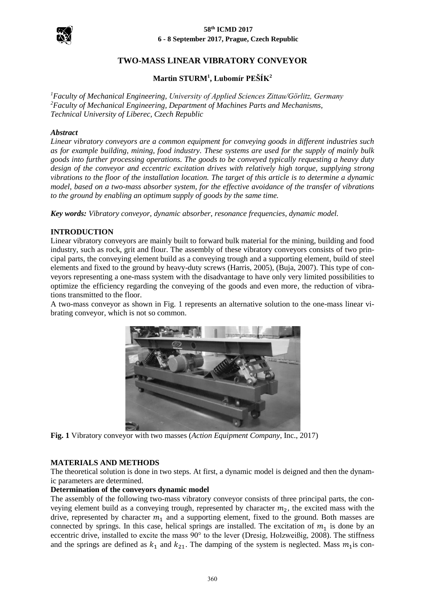

### **58th ICMD 2017 6 - 8 September 2017, Prague, Czech Republic**

## **TWO-MASS LINEAR VIBRATORY CONVEYOR**

# **Martin STURM<sup>1</sup> , Lubomír PEŠÍK<sup>2</sup>**

*<sup>1</sup>Faculty of Mechanical Engineering, University of Applied Sciences Zittau/Görlitz, Germany <sup>2</sup>Faculty of Mechanical Engineering, Department of Machines Parts and Mechanisms, Technical University of Liberec, Czech Republic*

## *Abstract*

*Linear vibratory conveyors are a common equipment for conveying goods in different industries such as for example building, mining, food industry. These systems are used for the supply of mainly bulk goods into further processing operations. The goods to be conveyed typically requesting a heavy duty design of the conveyor and eccentric excitation drives with relatively high torque, supplying strong vibrations to the floor of the installation location. The target of this article is to determine a dynamic model, based on a two-mass absorber system, for the effective avoidance of the transfer of vibrations to the ground by enabling an optimum supply of goods by the same time.*

*Key words: Vibratory conveyor, dynamic absorber, resonance frequencies, dynamic model.*

#### **INTRODUCTION**

Linear vibratory conveyors are mainly built to forward bulk material for the mining, building and food industry, such as rock, grit and flour. The assembly of these vibratory conveyors consists of two principal parts, the conveying element build as a conveying trough and a supporting element, build of steel elements and fixed to the ground by heavy-duty screws (Harris, 2005), (Buja, 2007). This type of conveyors representing a one-mass system with the disadvantage to have only very limited possibilities to optimize the efficiency regarding the conveying of the goods and even more, the reduction of vibrations transmitted to the floor.

A two-mass conveyor as shown in Fig. 1 represents an alternative solution to the one-mass linear vibrating conveyor, which is not so common.



**Fig. 1** Vibratory conveyor with two masses (*Action Equipment Company*, Inc., 2017)

#### **MATERIALS AND METHODS**

The theoretical solution is done in two steps. At first, a dynamic model is deigned and then the dynamic parameters are determined.

#### **Determination of the conveyors dynamic model**

The assembly of the following two-mass vibratory conveyor consists of three principal parts, the conveying element build as a conveying trough, represented by character  $m_2$ , the excited mass with the drive, represented by character  $m_1$  and a supporting element, fixed to the ground. Both masses are connected by springs. In this case, helical springs are installed. The excitation of  $m<sub>1</sub>$  is done by an eccentric drive, installed to excite the mass 90° to the lever (Dresig, Holzweißig, 2008). The stiffness and the springs are defined as  $k_1$  and  $k_{21}$ . The damping of the system is neglected. Mass  $m_1$  is con-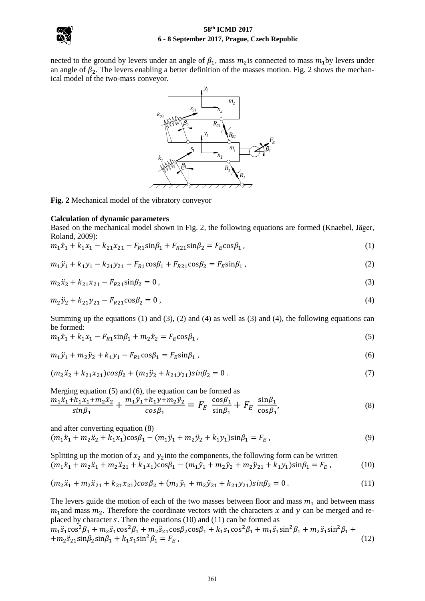



nected to the ground by levers under an angle of  $\beta_1$ , mass  $m_2$  is connected to mass  $m_1$  by levers under an angle of  $\beta_2$ . The levers enabling a better definition of the masses motion. Fig. 2 shows the mechanical model of the two-mass conveyor.



**Fig. 2** Mechanical model of the vibratory conveyor

#### **Calculation of dynamic parameters**

Based on the mechanical model shown in Fig. 2, the following equations are formed (Knaebel, Jäger, Roland, 2009):

$$
m_1\ddot{x}_1 + k_1x_1 - k_{21}x_{21} - F_{R1}\sin\beta_1 + F_{R21}\sin\beta_2 = F_E\cos\beta_1\,,\tag{1}
$$

$$
m_1 \ddot{y}_1 + k_1 y_1 - k_{21} y_{21} - F_{R1} \cos \beta_1 + F_{R21} \cos \beta_2 = F_E \sin \beta_1 \,, \tag{2}
$$

$$
m_2\ddot{x}_2 + k_{21}x_{21} - F_{R21}\sin\beta_2 = 0\tag{3}
$$

$$
m_2 \ddot{y}_2 + k_{21} y_{21} - F_{R21} \cos \beta_2 = 0 \tag{4}
$$

Summing up the equations (1) and (3), (2) and (4) as well as (3) and (4), the following equations can be formed:

$$
m_1\ddot{x}_1 + k_1x_1 - F_{R1}\sin\beta_1 + m_2\ddot{x}_2 = F_E\cos\beta_1,\tag{5}
$$

$$
m_1 \ddot{y}_1 + m_2 \ddot{y}_2 + k_1 y_1 - F_{R1} \cos \beta_1 = F_E \sin \beta_1 \,, \tag{6}
$$

$$
(m_2\ddot{x}_2 + k_{21}x_{21})cos\beta_2 + (m_2\ddot{y}_2 + k_{21}y_{21})sin\beta_2 = 0.
$$
\n(7)

Merging equation (5) and (6), the equation can be formed as

$$
\frac{m_1\ddot{x}_1 + k_1x_1 + m_2\ddot{x}_2}{\sin\beta_1} + \frac{m_1\ddot{y}_1 + k_1y + m_2\ddot{y}_2}{\cos\beta_1} = F_E \frac{\cos\beta_1}{\sin\beta_1} + F_E \frac{\sin\beta_1}{\cos\beta_1},\tag{8}
$$

and after converting equation (8)

$$
(m_1\ddot{x}_1 + m_2\ddot{x}_2 + \ddot{k}_1\dot{x}_1)\cos\beta_1 - (m_1\ddot{y}_1 + m_2\ddot{y}_2 + \dot{k}_1y_1)\sin\beta_1 = F_E,
$$
\n(9)

Splitting up the motion of  $x_2$  and  $y_2$  into the components, the following form can be written  $(m_1\ddot{x}_1 + m_2\ddot{x}_1 + m_2\ddot{x}_{21} + k_1x_1)\cos\beta_1 - (m_1\ddot{y}_1 + m_2\ddot{y}_2 + m_2\ddot{y}_{21} + k_1y_1)\sin\beta_1 = F_E$ , (10)

$$
(m_2\ddot{x}_1 + m_2\ddot{x}_{21} + k_{21}x_{21})cos\beta_2 + (m_2\ddot{y}_1 + m_2\ddot{y}_{21} + k_{21}y_{21})sin\beta_2 = 0.
$$
 (11)

The levers guide the motion of each of the two masses between floor and mass  $m_1$  and between mass  $m_1$  and mass  $m_2$ . Therefore the coordinate vectors with the characters x and y can be merged and replaced by character  $s$ . Then the equations (10) and (11) can be formed as

$$
m_1\ddot{s}_1\cos^2\beta_1 + m_2\ddot{s}_1\cos^2\beta_1 + m_2\ddot{s}_2\cos\beta_2\cos\beta_1 + k_1s_1\cos^2\beta_1 + m_1\ddot{s}_1\sin^2\beta_1 + m_2\ddot{s}_1\sin^2\beta_1 + m_2\ddot{s}_2\sin\beta_2\sin\beta_1 + k_1s_1\sin^2\beta_1 = F_E,
$$
\n(12)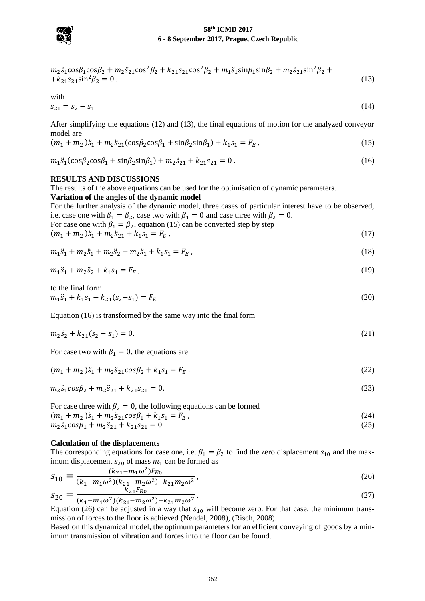

### **58th ICMD 2017 6 - 8 September 2017, Prague, Czech Republic**

$$
m_2\ddot{s}_1\cos\beta_1\cos\beta_2 + m_2\ddot{s}_{21}\cos^2\beta_2 + k_{21}s_{21}\cos^2\beta_2 + m_1\ddot{s}_1\sin\beta_1\sin\beta_2 + m_2\ddot{s}_{21}\sin^2\beta_2 + k_{21}s_{21}\sin^2\beta_2 = 0.
$$
\n(13)

with

$$
s_{21} = s_2 - s_1 \tag{14}
$$

After simplifying the equations (12) and (13), the final equations of motion for the analyzed conveyor model are

$$
(m_1 + m_2)\ddot{s}_1 + m_2\ddot{s}_{21}(\cos\beta_2\cos\beta_1 + \sin\beta_2\sin\beta_1) + k_1s_1 = F_E,
$$
\n(15)

 $m_1\ddot{s}_1(\cos\beta_2\cos\beta_1 + \sin\beta_2\sin\beta_1) + m_2\ddot{s}_{21} + k_{21}s_{21} = 0$ . (16)

### **RESULTS AND DISCUSSIONS**

The results of the above equations can be used for the optimisation of dynamic parameters.

**Variation of the angles of the dynamic model**

For the further analysis of the dynamic model, three cases of particular interest have to be observed, i.e. case one with  $\beta_1 = \beta_2$ , case two with  $\beta_1 = 0$  and case three with  $\beta_2 = 0$ .

For case one with 
$$
\beta_1 = \beta_2
$$
, equation (15) can be converted step by step  
\n $(m_1 + m_2)\ddot{s}_1 + m_2\ddot{s}_{21} + k_1s_1 = F_E$ , (17)

$$
m_1\ddot{s}_1 + m_2\ddot{s}_1 + m_2\ddot{s}_2 - m_2\ddot{s}_1 + k_1s_1 = F_E,
$$
\n(18)

$$
m_1\ddot{s}_1 + m_2\ddot{s}_2 + k_1s_1 = F_E, \tag{19}
$$

to the final form  $m_1\ddot{s}_1 + k_1s_1 - k_{21}(s_2 - s_1) = F_E$ . (20)

Equation (16) is transformed by the same way into the final form

$$
m_2\ddot{s}_2 + k_{21}(s_2 - s_1) = 0. \tag{21}
$$

For case two with  $\beta_1 = 0$ , the equations are

$$
(m_1 + m_2)\ddot{s}_1 + m_2\ddot{s}_2 \cos\beta_2 + k_1s_1 = F_E, \qquad (22)
$$

$$
m_2\ddot{s}_1\cos\beta_2 + m_2\ddot{s}_{21} + k_{21}s_{21} = 0. \tag{23}
$$

For case three with  $\beta_2 = 0$ , the following equations can be formed

$$
(m_1 + m_2)\ddot{s}_1 + m_2\ddot{s}_2 \cos\beta_1 + k_1s_1 = F_E,
$$
\n(24)

$$
m_2\ddot{s}_1\cos\beta_1 + m_2\ddot{s}_{21} + k_{21}s_{21} = 0. \tag{25}
$$

#### **Calculation of the displacements**

The corresponding equations for case one, i.e.  $\beta_1 = \beta_2$  to find the zero displacement  $s_{10}$  and the maximum displacement  $s_{20}$  of mass  $m_1$  can be formed as

$$
S_{10} = \frac{(k_{21} - m_1 \omega^2)F_{E0}}{(k_1 - m_1 \omega^2)(k_{21} - m_2 \omega^2) - k_{21}m_2 \omega^2},
$$
\n
$$
S_{10} = \frac{(k_{21} - m_1 \omega^2)F_{E0}}{k_{21}F_{E0}}
$$
\n
$$
(26)
$$

$$
S_{20} = \frac{\kappa_{21}r_{E0}}{(k_1 - m_1\omega^2)(k_{21} - m_2\omega^2) - k_{21}m_2\omega^2}.
$$
\nEquation (26) can be adjusted in a way that  $S$ , will become zero. For that case, the minimum tensor

Equation (26) can be adjusted in a way that  $s_{10}$  will become zero. For that case, the minimum transmission of forces to the floor is achieved (Nendel, 2008), (Risch, 2008).

Based on this dynamical model, the optimum parameters for an efficient conveying of goods by a minimum transmission of vibration and forces into the floor can be found.